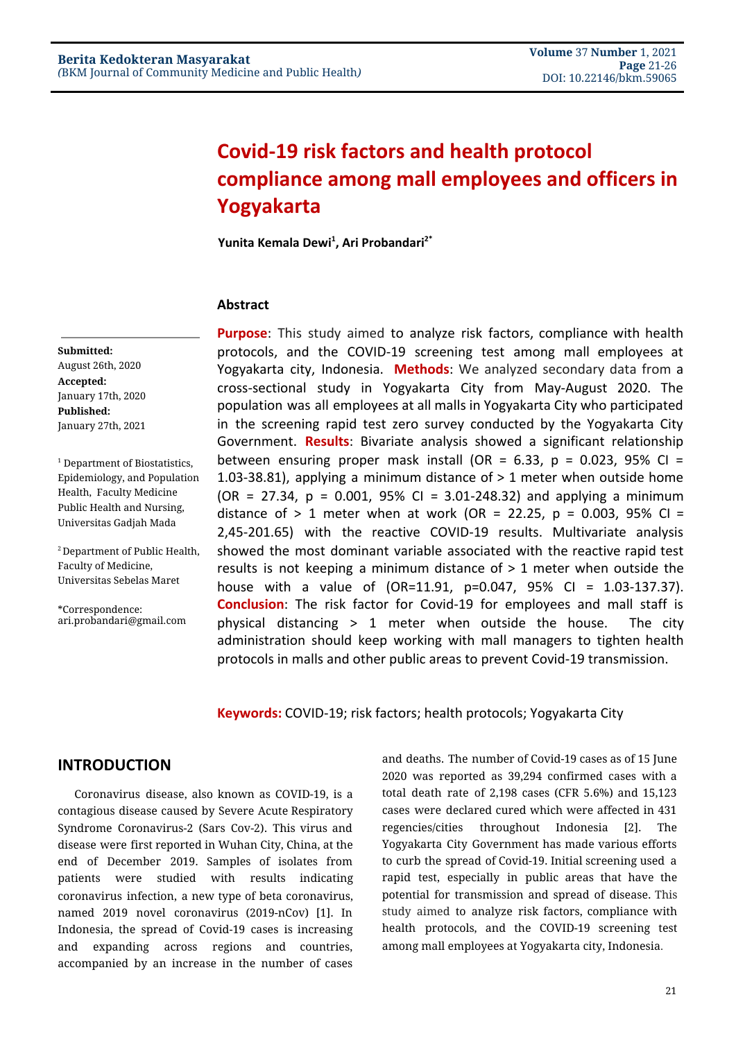# **Covid-19 risk factors and health protocol compliance among mall employees and officers in Yogyakarta**

**Yunita Kemala Dewi 1 , Ari Probandari 2\***

#### **Abstract**

**Submitted:** August 26th, 2020 **Accepted:** January 17th, 2020 **Published:** January 27th, 2021

<sup>1</sup> Department of Biostatistics, Epidemiology, and Population Health, Faculty Medicine Public Health and Nursing, Universitas Gadjah Mada

<sup>2</sup> Department of Public Health, Faculty of Medicine, Universitas Sebelas Maret

\*Correspondence: ari.probandari@gmail.com **Purpose**: This study aimed to analyze risk factors, compliance with health protocols, and the COVID-19 screening test among mall employees at Yogyakarta city, Indonesia. **Methods**: We analyzed secondary data from a cross-sectional study in Yogyakarta City from May-August 2020. The population was all employees at all malls in Yogyakarta City who participated in the screening rapid test zero survey conducted by the Yogyakarta City Government. **Results**: Bivariate analysis showed a significant relationship between ensuring proper mask install (OR =  $6.33$ , p = 0.023, 95% CI = 1.03-38.81), applying a minimum distance of > 1 meter when outside home  $(OR = 27.34, p = 0.001, 95\% CI = 3.01-248.32)$  and applying a minimum distance of  $> 1$  meter when at work (OR = 22.25, p = 0.003, 95% CI = 2,45-201.65) with the reactive COVID-19 results. Multivariate analysis showed the most dominant variable associated with the reactive rapid test results is not keeping a minimum distance of  $> 1$  meter when outside the house with a value of (OR=11.91, p=0.047, 95% CI = 1.03-137.37). **Conclusion**: The risk factor for Covid-19 for employees and mall staff is physical distancing  $> 1$  meter when outside the house. The city administration should keep working with mall managers to tighten health protocols in malls and other public areas to prevent Covid-19 transmission.

**Keywords:** COVID-19; risk factors; health protocols; Yogyakarta City

## **INTRODUCTION**

Coronavirus disease, also known as COVID-19, is a contagious disease caused by Severe Acute Respiratory Syndrome Coronavirus-2 (Sars Cov-2). This virus and disease were first reported in Wuhan City, China, at the end of December 2019. Samples of isolates from patients were studied with results indicating coronavirus infection, a new type of beta coronavirus, named 2019 novel coronavirus (2019-nCov) [\[1\].](https://paperpile.com/c/ApxvyT/OwoD) In Indonesia, the spread of Covid-19 cases is increasing and expanding across regions and countries, accompanied by an increase in the number of cases

and deaths. The number of Covid-19 cases as of 15 June 2020 was reported as 39,294 confirmed cases with a total death rate of 2,198 cases (CFR 5.6%) and 15,123 cases were declared cured which were affected in 431 regencies/cities throughout Indonesia [\[2\]](https://paperpile.com/c/ApxvyT/PA9b). The Yogyakarta City Government has made various efforts to curb the spread of Covid-19. Initial screening used a rapid test, especially in public areas that have the potential for transmission and spread of disease. This study aimed to analyze risk factors, compliance with health protocols, and the COVID-19 screening test among mall employees at Yogyakarta city, Indonesia.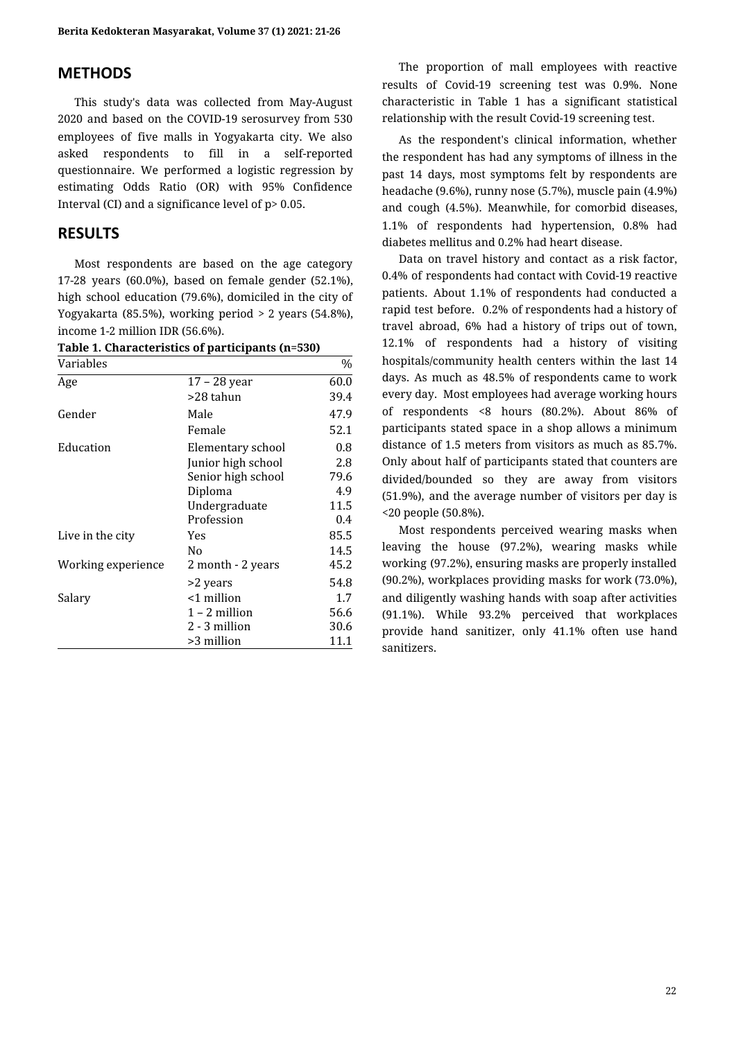# **METHODS**

This study's data was collected from May-August 2020 and based on the COVID-19 serosurvey from 530 employees of five malls in Yogyakarta city. We also asked respondents to fill in a self-reported questionnaire. We performed a logistic regression by estimating Odds Ratio (OR) with 95% Confidence Interval (CI) and a significance level of p> 0.05.

## **RESULTS**

Most respondents are based on the age category 17-28 years (60.0%), based on female gender (52.1%), high school education (79.6%), domiciled in the city of Yogyakarta (85.5%), working period > 2 years (54.8%), income 1-2 million IDR (56.6%).

|  |  |  | Table 1. Characteristics of participants (n=530) |  |
|--|--|--|--------------------------------------------------|--|
|--|--|--|--------------------------------------------------|--|

| Variables          |                    | $\%$ |
|--------------------|--------------------|------|
| Age                | $17 - 28$ year     | 60.0 |
|                    | >28 tahun          | 39.4 |
| Gender             | Male               | 47.9 |
|                    | Female             | 52.1 |
| Education          | Elementary school  | 0.8  |
|                    | Junior high school | 2.8  |
|                    | Senior high school | 79.6 |
|                    | Diploma            | 4.9  |
|                    | Undergraduate      | 11.5 |
|                    | Profession         | 0.4  |
| Live in the city   | Yes                | 85.5 |
|                    | N <sub>0</sub>     | 14.5 |
| Working experience | 2 month - 2 years  | 45.2 |
|                    | >2 years           | 54.8 |
| Salary             | <1 million         | 1.7  |
|                    | $1 - 2$ million    | 56.6 |
|                    | 2 - 3 million      | 30.6 |
|                    | >3 million         | 11.1 |

The proportion of mall employees with reactive results of Covid-19 screening test was 0.9%. None characteristic in Table 1 has a significant statistical relationship with the result Covid-19 screening test.

As the respondent's clinical information, whether the respondent has had any symptoms of illness in the past 14 days, most symptoms felt by respondents are headache (9.6%), runny nose (5.7%), muscle pain (4.9%) and cough (4.5%). Meanwhile, for comorbid diseases, 1.1% of respondents had hypertension, 0.8% had diabetes mellitus and 0.2% had heart disease.

Data on travel history and contact as a risk factor, 0.4% of respondents had contact with Covid-19 reactive patients. About 1.1% of respondents had conducted a rapid test before. 0.2% of respondents had a history of travel abroad, 6% had a history of trips out of town, 12.1% of respondents had a history of visiting hospitals/community health centers within the last 14 days. As much as 48.5% of respondents came to work every day. Most employees had average working hours of respondents <8 hours (80.2%). About 86% of participants stated space in a shop allows a minimum distance of 1.5 meters from visitors as much as 85.7%. Only about half of participants stated that counters are divided/bounded so they are away from visitors (51.9%), and the average number of visitors per day is <20 people (50.8%).

Most respondents perceived wearing masks when leaving the house (97.2%), wearing masks while working (97.2%), ensuring masks are properly installed (90.2%), workplaces providing masks for work (73.0%), and diligently washing hands with soap after activities (91.1%). While 93.2% perceived that workplaces provide hand sanitizer, only 41.1% often use hand sanitizers.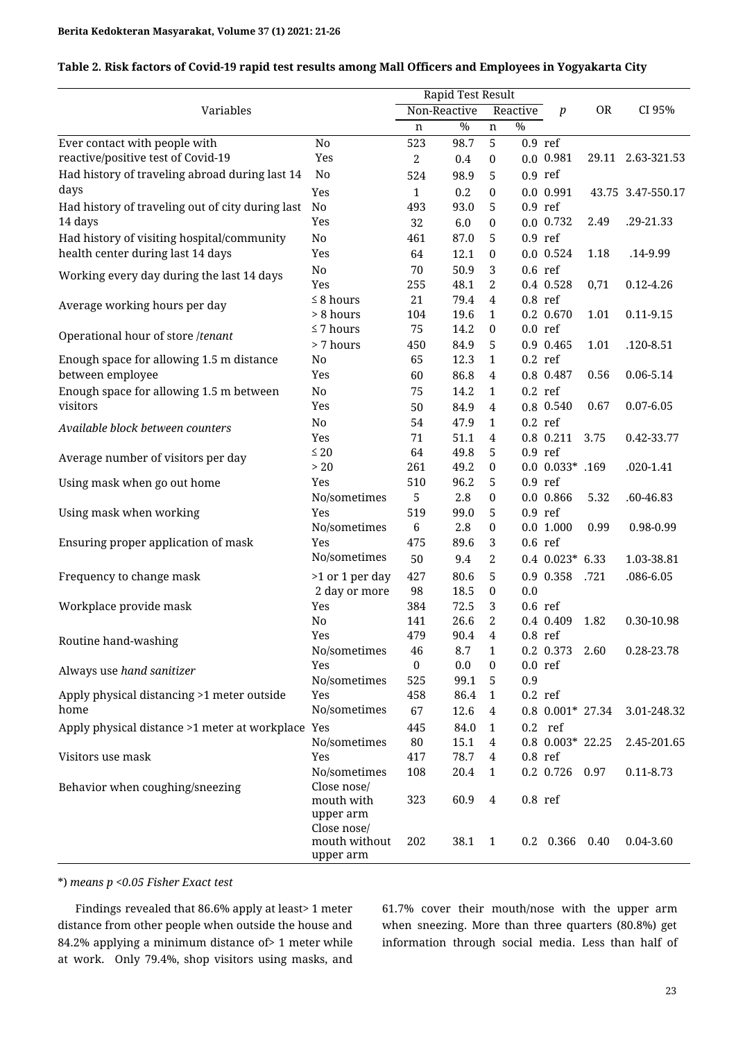| Table 2. Risk factors of Covid-19 rapid test results among Mall Officers and Employees in Yogyakarta City |  |  |
|-----------------------------------------------------------------------------------------------------------|--|--|
|                                                                                                           |  |  |

|                                                   |                              | Rapid Test Result |               |                |               |                      |           |                   |
|---------------------------------------------------|------------------------------|-------------------|---------------|----------------|---------------|----------------------|-----------|-------------------|
| Variables                                         |                              |                   | Non-Reactive  |                | Reactive      | $\boldsymbol{p}$     | <b>OR</b> | CI 95%            |
|                                                   |                              | n                 | $\frac{0}{0}$ | $\mathbf n$    | $\frac{0}{0}$ |                      |           |                   |
| Ever contact with people with                     | No                           | 523               | 98.7          | 5              |               | $0.9$ ref            |           |                   |
| reactive/positive test of Covid-19                | Yes                          | $\sqrt{2}$        | 0.4           | $\pmb{0}$      |               | 0.0 0.981            |           | 29.11 2.63-321.53 |
| Had history of traveling abroad during last 14    | No                           | 524               | 98.9          | 5              |               | $0.9$ ref            |           |                   |
| days                                              | Yes                          | $\mathbf{1}$      | 0.2           | $\bf{0}$       |               | $0.0$ 0.991          |           | 43.75 3.47-550.17 |
| Had history of traveling out of city during last  | $\rm No$                     | 493               | 93.0          | 5              |               | $0.9$ ref            |           |                   |
| 14 days                                           | Yes                          | 32                | 6.0           | $\bf{0}$       |               | $0.0$ 0.732          | 2.49      | .29-21.33         |
| Had history of visiting hospital/community        | No                           | 461               | 87.0          | 5              |               | $0.9$ ref            |           |                   |
| health center during last 14 days                 | Yes                          | 64                | 12.1          | $\bf{0}$       |               | $0.0$ 0.524          | 1.18      | .14-9.99          |
|                                                   | $\rm No$                     | 70                | 50.9          | 3              |               | $0.6$ ref            |           |                   |
| Working every day during the last 14 days         | Yes                          | 255               | 48.1          | $\overline{2}$ |               | 0.4 0.528            | 0,71      | $0.12 - 4.26$     |
|                                                   | $\leq 8$ hours               | 21                | 79.4          | $\overline{4}$ |               | $0.8$ ref            |           |                   |
| Average working hours per day                     | > 8 hours                    | 104               | 19.6          | $\mathbf{1}$   |               | 0.2 0.670            | 1.01      | $0.11 - 9.15$     |
|                                                   | $\leq 7$ hours               | 75                | 14.2          | $\pmb{0}$      |               | $0.0$ ref            |           |                   |
| Operational hour of store /tenant                 | > 7 hours                    | 450               | 84.9          | 5              |               | 0.9 0.465            | 1.01      | .120-8.51         |
| Enough space for allowing 1.5 m distance          | No                           | 65                | 12.3          | $\mathbf{1}$   |               | $0.2$ ref            |           |                   |
| between employee                                  | Yes                          | 60                | 86.8          | 4              |               | 0.8 0.487            | 0.56      | 0.06-5.14         |
| Enough space for allowing 1.5 m between           | No                           | 75                | 14.2          | 1              |               | $0.2$ ref            |           |                   |
| visitors                                          | Yes                          | 50                | 84.9          | 4              |               | 0.8 0.540            | 0.67      | $0.07 - 6.05$     |
|                                                   | No                           | 54                | 47.9          | $\mathbf{1}$   |               | $0.2$ ref            |           |                   |
| Available block between counters                  | Yes                          | 71                | 51.1          | 4              |               | 0.8 0.211            | 3.75      | 0.42-33.77        |
|                                                   | $\leq 20$                    | 64                | 49.8          | 5              |               | $0.9$ ref            |           |                   |
| Average number of visitors per day                | $>20$                        | 261               | 49.2          | $\bf{0}$       |               | $0.0 0.033* .169$    |           | $.020 - 1.41$     |
| Using mask when go out home                       | Yes                          | 510               | 96.2          | 5              |               | $0.9$ ref            |           |                   |
|                                                   | No/sometimes                 | 5                 | 2.8           | $\bf{0}$       |               | $0.0$ 0.866          | 5.32      | .60-46.83         |
| Using mask when working                           | Yes                          | 519               | 99.0          | 5              |               | $0.9$ ref            |           |                   |
|                                                   | No/sometimes                 | $\,6\,$           | 2.8           | $\bf{0}$       |               | $0.0$ 1.000          | 0.99      | 0.98-0.99         |
| Ensuring proper application of mask               | Yes                          | 475               | 89.6          | 3              |               | $0.6$ ref            |           |                   |
|                                                   | No/sometimes                 | 50                | 9.4           | $\overline{2}$ |               | $0.4$ $0.023*$ 6.33  |           | 1.03-38.81        |
| Frequency to change mask                          | >1 or 1 per day              | 427               | 80.6          | 5              |               | 0.9 0.358            | .721      | .086-6.05         |
|                                                   | 2 day or more                | 98                | 18.5          | $\pmb{0}$      | 0.0           |                      |           |                   |
| Workplace provide mask                            | Yes                          | 384               | 72.5          | 3              |               | $0.6$ ref            |           |                   |
|                                                   | N <sub>0</sub>               | 141               | 26.6          | 2              |               | 0.4 0.409            | 1.82      | 0.30-10.98        |
| Routine hand-washing                              | Yes                          | 479               | 90.4          | 4              |               | $0.8$ ref            |           |                   |
|                                                   | No/sometimes                 | 46                | 8.7           | $\mathbf{1}$   |               | 0.2 0.373 2.60       |           | 0.28-23.78        |
| Always use hand sanitizer                         | Yes                          | $\bf{0}$          | 0.0           | $\bf{0}$       |               | $0.0$ ref            |           |                   |
|                                                   | No/sometimes                 | 525               | 99.1          | 5              | 0.9           |                      |           |                   |
| Apply physical distancing >1 meter outside        | Yes                          | 458               | 86.4          | 1              |               | $0.2$ ref            |           |                   |
| home                                              | No/sometimes                 | 67                | 12.6          | 4              |               | $0.8$ $0.001*$ 27.34 |           | 3.01-248.32       |
| Apply physical distance >1 meter at workplace Yes |                              | 445               | 84.0          | 1              |               | $0.2$ ref            |           |                   |
|                                                   | No/sometimes                 | 80                | 15.1          | 4              |               | $0.8$ $0.003*$ 22.25 |           | 2.45-201.65       |
| Visitors use mask                                 | Yes                          | 417               | 78.7          | 4              |               | $0.8$ ref            |           |                   |
|                                                   | No/sometimes                 | 108               | 20.4          | 1              |               | 0.2 0.726 0.97       |           | $0.11 - 8.73$     |
| Behavior when coughing/sneezing                   | Close nose/                  |                   |               |                |               |                      |           |                   |
|                                                   | mouth with                   | 323               | 60.9          | 4              | $0.8$ ref     |                      |           |                   |
|                                                   | upper arm                    |                   |               |                |               |                      |           |                   |
|                                                   | Close nose/<br>mouth without | 202               | 38.1          | $\mathbf{1}$   |               | 0.2 0.366 0.40       |           | 0.04-3.60         |
|                                                   | upper arm                    |                   |               |                |               |                      |           |                   |

\*) *means p <0.05 Fisher Exact test*

Findings revealed that 86.6% apply at least> 1 meter distance from other people when outside the house and 84.2% applying a minimum distance of> 1 meter while at work. Only 79.4%, shop visitors using masks, and

61.7% cover their mouth/nose with the upper arm when sneezing. More than three quarters (80.8%) get information through social media. Less than half of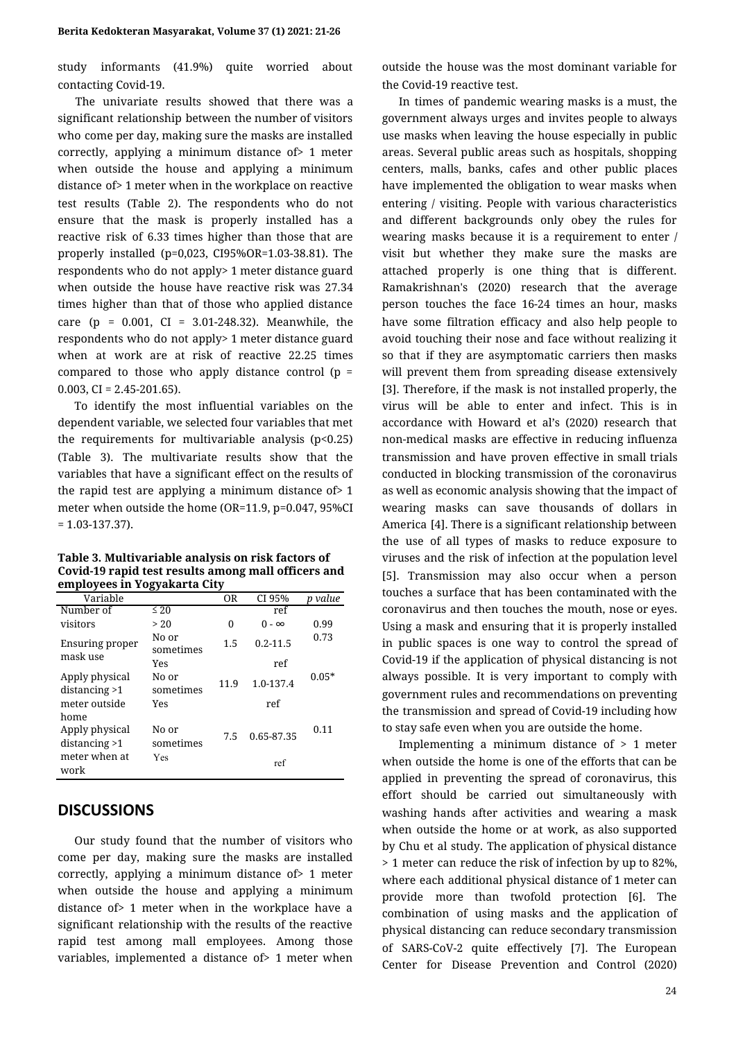study informants (41.9%) quite worried about contacting Covid-19.

The univariate results showed that there was a significant relationship between the number of visitors who come per day, making sure the masks are installed correctly, applying a minimum distance of> 1 meter when outside the house and applying a minimum distance of> 1 meter when in the workplace on reactive test results (Table 2). The respondents who do not ensure that the mask is properly installed has a reactive risk of 6.33 times higher than those that are properly installed (p=0,023, CI95%OR=1.03-38.81). The respondents who do not apply> 1 meter distance guard when outside the house have reactive risk was 27.34 times higher than that of those who applied distance care (p =  $0.001$ , CI =  $3.01-248.32$ ). Meanwhile, the respondents who do not apply> 1 meter distance guard when at work are at risk of reactive 22.25 times compared to those who apply distance control ( $p =$ 0.003,  $CI = 2.45 - 201.65$ ).

To identify the most influential variables on the dependent variable, we selected four variables that met the requirements for multivariable analysis  $(p<0.25)$ (Table 3). The multivariate results show that the variables that have a significant effect on the results of the rapid test are applying a minimum distance of> 1 meter when outside the home (OR=11.9, p=0.047, 95%CI  $= 1.03 - 137.37$ .

| Table 3. Multivariable analysis on risk factors of  |
|-----------------------------------------------------|
| Covid-19 rapid test results among mall officers and |
| employees in Yogyakarta City                        |

| -r--- ,                           | .                   |           |              |         |
|-----------------------------------|---------------------|-----------|--------------|---------|
| Variable                          |                     | <b>OR</b> | CI 95%       | p value |
| Number of                         | $\overline{\leq}20$ |           | ref          |         |
| visitors                          | > 20                | 0         | () - ∞       | 0.99    |
| Ensuring proper<br>mask use       | No or<br>sometimes  | 1.5       | $0.2 - 11.5$ | 0.73    |
|                                   | Yes                 |           | ref          |         |
| Apply physical<br>distancing $>1$ | No or<br>sometimes  | 11.9      | 1.0-137.4    | $0.05*$ |
| meter outside                     | Yes                 |           | ref          |         |
| home                              |                     |           |              |         |
| Apply physical                    | No or               | 7.5       | 0.65-87.35   | 0.11    |
| distancing > 1                    | sometimes           |           |              |         |
| meter when at<br>work             | Yes                 |           | ref          |         |

#### **DISCUSSIONS**

Our study found that the number of visitors who come per day, making sure the masks are installed correctly, applying a minimum distance of> 1 meter when outside the house and applying a minimum distance of> 1 meter when in the workplace have a significant relationship with the results of the reactive rapid test among mall employees. Among those variables, implemented a distance of> 1 meter when

outside the house was the most dominant variable for the Covid-19 reactive test.

In times of pandemic wearing masks is a must, the government always urges and invites people to always use masks when leaving the house especially in public areas. Several public areas such as hospitals, shopping centers, malls, banks, cafes and other public places have implemented the obligation to wear masks when entering / visiting. People with various characteristics and different backgrounds only obey the rules for wearing masks because it is a requirement to enter / visit but whether they make sure the masks are attached properly is one thing that is different. Ramakrishnan's (2020) research that the average person touches the face 16-24 times an hour, masks have some filtration efficacy and also help people to avoid touching their nose and face without realizing it so that if they are asymptomatic carriers then masks will prevent them from spreading disease extensively [\[3\]](https://paperpile.com/c/ApxvyT/CL1N). Therefore, if the mask is not installed properly, the virus will be able to enter and infect. This is in accordance with Howard et al's (2020) research that non-medical masks are effective in reducing influenza transmission and have proven effective in small trials conducted in blocking transmission of the coronavirus as well as economic analysis showing that the impact of wearing masks can save thousands of dollars in America [\[4\]](https://paperpile.com/c/ApxvyT/mY6n). There is a significant relationship between the use of all types of masks to reduce exposure to viruses and the risk of infection at the population level [\[5\]](https://paperpile.com/c/ApxvyT/x4dK). Transmission may also occur when a person touches a surface that has been contaminated with the coronavirus and then touches the mouth, nose or eyes. Using a mask and ensuring that it is properly installed in public spaces is one way to control the spread of Covid-19 if the application of physical distancing is not always possible. It is very important to comply with government rules and recommendations on preventing the transmission and spread of Covid-19 including how to stay safe even when you are outside the home.

Implementing a minimum distance of > 1 meter when outside the home is one of the efforts that can be applied in preventing the spread of coronavirus, this effort should be carried out simultaneously with washing hands after activities and wearing a mask when outside the home or at work, as also supported by Chu et al study. The application of physical distance > 1 meter can reduce the risk of infection by up to 82%, where each additional physical distance of 1 meter can provide more than twofold protection [\[6\].](https://paperpile.com/c/ApxvyT/V1Up) The combination of using masks and the application of physical distancing can reduce secondary transmission of SARS-CoV-2 quite effectively [\[7\].](https://paperpile.com/c/ApxvyT/6Riv) The European Center for Disease Prevention and Control (2020)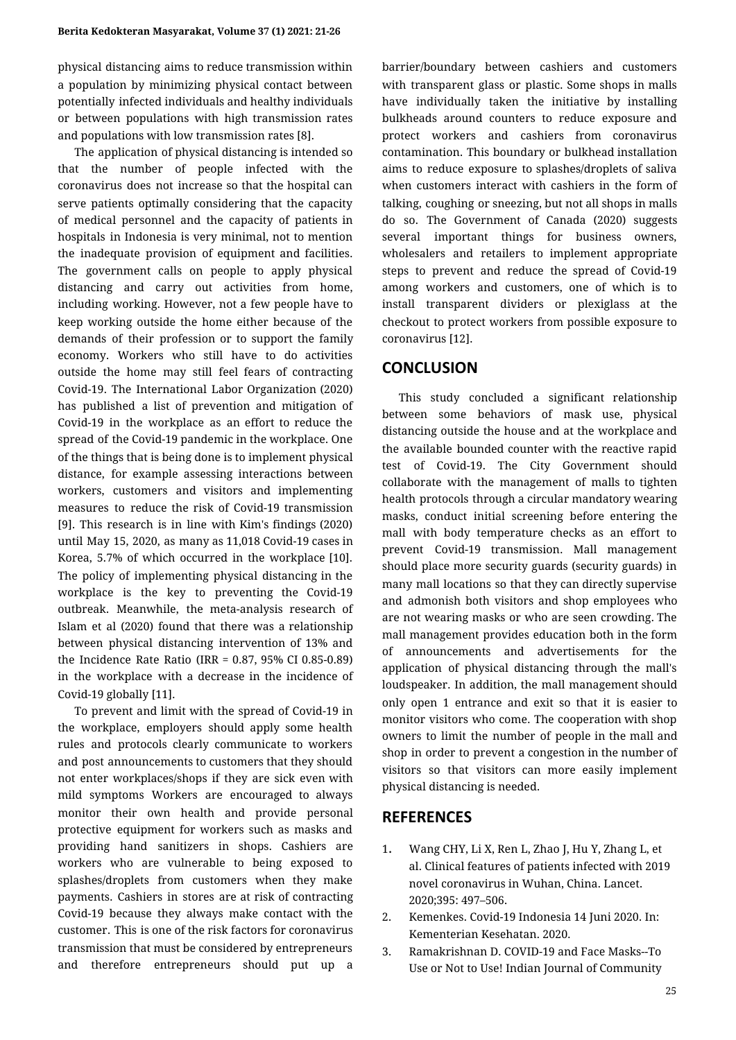physical distancing aims to reduce transmission within a population by minimizing physical contact between potentially infected individuals and healthy individuals or between populations with high transmission rates and populations with low transmission rates [\[8\]](https://paperpile.com/c/ApxvyT/cjxE).

The application of physical distancing is intended so that the number of people infected with the coronavirus does not increase so that the hospital can serve patients optimally considering that the capacity of medical personnel and the capacity of patients in hospitals in Indonesia is very minimal, not to mention the inadequate provision of equipment and facilities. The government calls on people to apply physical distancing and carry out activities from home, including working. However, not a few people have to keep working outside the home either because of the demands of their profession or to support the family economy. Workers who still have to do activities outside the home may still feel fears of contracting Covid-19. The International Labor Organization (2020) has published a list of prevention and mitigation of Covid-19 in the workplace as an effort to reduce the spread of the Covid-19 pandemic in the workplace. One of the things that is being done is to implement physical distance, for example assessing interactions between workers, customers and visitors and implementing measures to reduce the risk of Covid-19 transmission [\[9\].](https://paperpile.com/c/ApxvyT/duRG) This research is in line with Kim's findings (2020) until May 15, 2020, as many as 11,018 Covid-19 cases in Korea, 5.7% of which occurred in the workplace [\[10\]](https://paperpile.com/c/ApxvyT/Ukpu). The policy of implementing physical distancing in the workplace is the key to preventing the Covid-19 outbreak. Meanwhile, the meta-analysis research of Islam et al (2020) found that there was a relationship between physical distancing intervention of 13% and the Incidence Rate Ratio (IRR = 0.87, 95% CI 0.85-0.89) in the workplace with a decrease in the incidence of Covid-19 globally [\[11\].](https://paperpile.com/c/ApxvyT/fq4g)

To prevent and limit with the spread of Covid-19 in the workplace, employers should apply some health rules and protocols clearly communicate to workers and post announcements to customers that they should not enter workplaces/shops if they are sick even with mild symptoms Workers are encouraged to always monitor their own health and provide personal protective equipment for workers such as masks and providing hand sanitizers in shops. Cashiers are workers who are vulnerable to being exposed to splashes/droplets from customers when they make payments. Cashiers in stores are at risk of contracting Covid-19 because they always make contact with the customer. This is one of the risk factors for coronavirus transmission that must be considered by entrepreneurs and therefore entrepreneurs should put up a barrier/boundary between cashiers and customers with transparent glass or plastic. Some shops in malls have individually taken the initiative by installing bulkheads around counters to reduce exposure and protect workers and cashiers from coronavirus contamination. This boundary or bulkhead installation aims to reduce exposure to splashes/droplets of saliva when customers interact with cashiers in the form of talking, coughing or sneezing, but not all shops in malls do so. The Government of Canada (2020) suggests several important things for business owners, wholesalers and retailers to implement appropriate steps to prevent and reduce the spread of Covid-19 among workers and customers, one of which is to install transparent dividers or plexiglass at the checkout to protect workers from possible exposure to coronavirus [\[12\].](https://paperpile.com/c/ApxvyT/n51j)

#### **CONCLUSION**

This study concluded a significant relationship between some behaviors of mask use, physical distancing outside the house and at the workplace and the available bounded counter with the reactive rapid test of Covid-19. The City Government should collaborate with the management of malls to tighten health protocols through a circular mandatory wearing masks, conduct initial screening before entering the mall with body temperature checks as an effort to prevent Covid-19 transmission. Mall management should place more security guards (security guards) in many mall locations so that they can directly supervise and admonish both visitors and shop employees who are not wearing masks or who are seen crowding. The mall management provides education both in the form of announcements and advertisements for the application of physical distancing through the mall's loudspeaker. In addition, the mall management should only open 1 entrance and exit so that it is easier to monitor visitors who come. The cooperation with shop owners to limit the number of people in the mall and shop in order to prevent a congestion in the number of visitors so that visitors can more easily implement physical distancing is needed.

## **REFERENCES**

- 1. [Wang CHY, Li X, Ren L, Zhao J, Hu Y, Zhang L, et](http://paperpile.com/b/ApxvyT/OwoD) [al. Clinical features of patients infected with 2019](http://paperpile.com/b/ApxvyT/OwoD) [novel coronavirus in Wuhan, China. Lancet.](http://paperpile.com/b/ApxvyT/OwoD) [2020;395: 497–506.](http://paperpile.com/b/ApxvyT/OwoD)
- 2. [Kemenkes. Covid-19 Indonesia 14 Juni 2020. In:](http://paperpile.com/b/ApxvyT/PA9b) [Kementerian Kesehatan. 2020.](http://paperpile.com/b/ApxvyT/PA9b)
- 3. [Ramakrishnan D. COVID-19 and Face Masks--To](http://paperpile.com/b/ApxvyT/CL1N) [Use or Not to Use! Indian Journal of Community](http://paperpile.com/b/ApxvyT/CL1N)